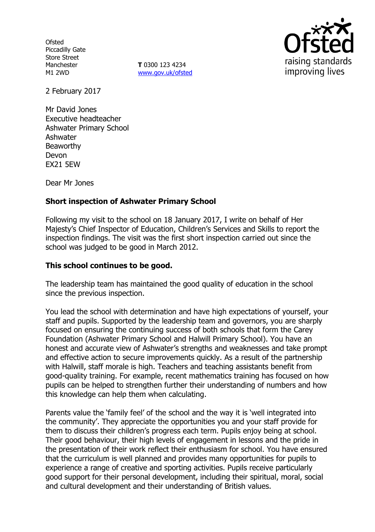**Ofsted** Piccadilly Gate Store Street Manchester M1 2WD

**T** 0300 123 4234 www.gov.uk/ofsted



2 February 2017

Mr David Jones Executive headteacher Ashwater Primary School Ashwater Beaworthy Devon EX21 5EW

Dear Mr Jones

## **Short inspection of Ashwater Primary School**

Following my visit to the school on 18 January 2017, I write on behalf of Her Majesty's Chief Inspector of Education, Children's Services and Skills to report the inspection findings. The visit was the first short inspection carried out since the school was judged to be good in March 2012.

#### **This school continues to be good.**

The leadership team has maintained the good quality of education in the school since the previous inspection.

You lead the school with determination and have high expectations of yourself, your staff and pupils. Supported by the leadership team and governors, you are sharply focused on ensuring the continuing success of both schools that form the Carey Foundation (Ashwater Primary School and Halwill Primary School). You have an honest and accurate view of Ashwater's strengths and weaknesses and take prompt and effective action to secure improvements quickly. As a result of the partnership with Halwill, staff morale is high. Teachers and teaching assistants benefit from good-quality training. For example, recent mathematics training has focused on how pupils can be helped to strengthen further their understanding of numbers and how this knowledge can help them when calculating.

Parents value the 'family feel' of the school and the way it is 'well integrated into the community'. They appreciate the opportunities you and your staff provide for them to discuss their children's progress each term. Pupils enjoy being at school. Their good behaviour, their high levels of engagement in lessons and the pride in the presentation of their work reflect their enthusiasm for school. You have ensured that the curriculum is well planned and provides many opportunities for pupils to experience a range of creative and sporting activities. Pupils receive particularly good support for their personal development, including their spiritual, moral, social and cultural development and their understanding of British values.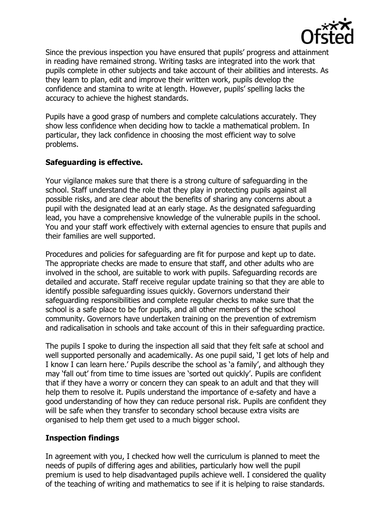

Since the previous inspection you have ensured that pupils' progress and attainment in reading have remained strong. Writing tasks are integrated into the work that pupils complete in other subjects and take account of their abilities and interests. As they learn to plan, edit and improve their written work, pupils develop the confidence and stamina to write at length. However, pupils' spelling lacks the accuracy to achieve the highest standards.

Pupils have a good grasp of numbers and complete calculations accurately. They show less confidence when deciding how to tackle a mathematical problem. In particular, they lack confidence in choosing the most efficient way to solve problems.

# **Safeguarding is effective.**

Your vigilance makes sure that there is a strong culture of safeguarding in the school. Staff understand the role that they play in protecting pupils against all possible risks, and are clear about the benefits of sharing any concerns about a pupil with the designated lead at an early stage. As the designated safeguarding lead, you have a comprehensive knowledge of the vulnerable pupils in the school. You and your staff work effectively with external agencies to ensure that pupils and their families are well supported.

Procedures and policies for safeguarding are fit for purpose and kept up to date. The appropriate checks are made to ensure that staff, and other adults who are involved in the school, are suitable to work with pupils. Safeguarding records are detailed and accurate. Staff receive regular update training so that they are able to identify possible safeguarding issues quickly. Governors understand their safeguarding responsibilities and complete regular checks to make sure that the school is a safe place to be for pupils, and all other members of the school community. Governors have undertaken training on the prevention of extremism and radicalisation in schools and take account of this in their safeguarding practice.

The pupils I spoke to during the inspection all said that they felt safe at school and well supported personally and academically. As one pupil said, 'I get lots of help and I know I can learn here.' Pupils describe the school as 'a family', and although they may 'fall out' from time to time issues are 'sorted out quickly'. Pupils are confident that if they have a worry or concern they can speak to an adult and that they will help them to resolve it. Pupils understand the importance of e-safety and have a good understanding of how they can reduce personal risk. Pupils are confident they will be safe when they transfer to secondary school because extra visits are organised to help them get used to a much bigger school.

### **Inspection findings**

In agreement with you, I checked how well the curriculum is planned to meet the needs of pupils of differing ages and abilities, particularly how well the pupil premium is used to help disadvantaged pupils achieve well. I considered the quality of the teaching of writing and mathematics to see if it is helping to raise standards.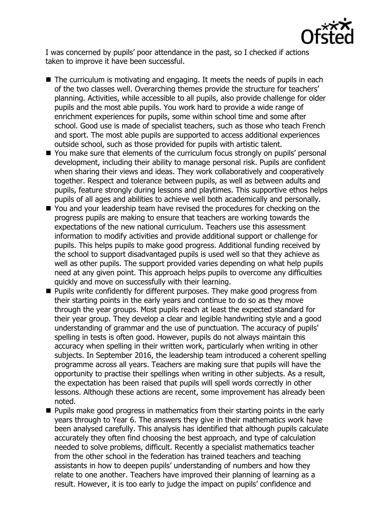

I was concerned by pupils' poor attendance in the past, so I checked if actions taken to improve it have been successful.

- $\blacksquare$  The curriculum is motivating and engaging. It meets the needs of pupils in each of the two classes well. Overarching themes provide the structure for teachers' planning. Activities, while accessible to all pupils, also provide challenge for older pupils and the most able pupils. You work hard to provide a wide range of enrichment experiences for pupils, some within school time and some after school. Good use is made of specialist teachers, such as those who teach French and sport. The most able pupils are supported to access additional experiences outside school, such as those provided for pupils with artistic talent.
- You make sure that elements of the curriculum focus strongly on pupils' personal development, including their ability to manage personal risk. Pupils are confident when sharing their views and ideas. They work collaboratively and cooperatively together. Respect and tolerance between pupils, as well as between adults and pupils, feature strongly during lessons and playtimes. This supportive ethos helps pupils of all ages and abilities to achieve well both academically and personally.
- You and your leadership team have revised the procedures for checking on the progress pupils are making to ensure that teachers are working towards the expectations of the new national curriculum. Teachers use this assessment information to modify activities and provide additional support or challenge for pupils. This helps pupils to make good progress. Additional funding received by the school to support disadvantaged pupils is used well so that they achieve as well as other pupils. The support provided varies depending on what help pupils need at any given point. This approach helps pupils to overcome any difficulties quickly and move on successfully with their learning.
- **Pupils write confidently for different purposes. They make good progress from** their starting points in the early years and continue to do so as they move through the year groups. Most pupils reach at least the expected standard for their year group. They develop a clear and legible handwriting style and a good understanding of grammar and the use of punctuation. The accuracy of pupils' spelling in tests is often good. However, pupils do not always maintain this accuracy when spelling in their written work, particularly when writing in other subjects. In September 2016, the leadership team introduced a coherent spelling programme across all years. Teachers are making sure that pupils will have the opportunity to practise their spellings when writing in other subjects. As a result, the expectation has been raised that pupils will spell words correctly in other lessons. Although these actions are recent, some improvement has already been noted.
- $\blacksquare$  Pupils make good progress in mathematics from their starting points in the early years through to Year 6. The answers they give in their mathematics work have been analysed carefully. This analysis has identified that although pupils calculate accurately they often find choosing the best approach, and type of calculation needed to solve problems, difficult. Recently a specialist mathematics teacher from the other school in the federation has trained teachers and teaching assistants in how to deepen pupils' understanding of numbers and how they relate to one another. Teachers have improved their planning of learning as a result. However, it is too early to judge the impact on pupils' confidence and